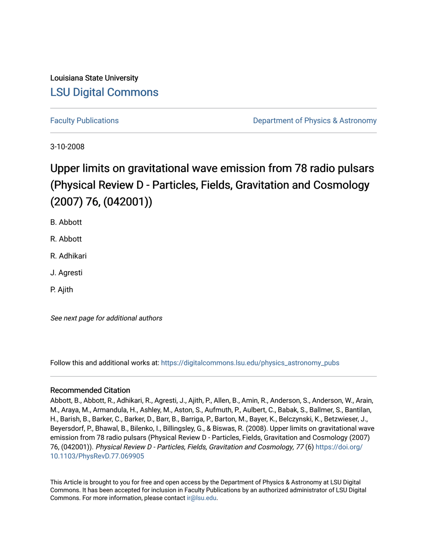## Louisiana State University [LSU Digital Commons](https://digitalcommons.lsu.edu/)

[Faculty Publications](https://digitalcommons.lsu.edu/physics_astronomy_pubs) **Example 2** Constant Department of Physics & Astronomy

3-10-2008

# Upper limits on gravitational wave emission from 78 radio pulsars (Physical Review D - Particles, Fields, Gravitation and Cosmology (2007) 76, (042001))

B. Abbott

R. Abbott

R. Adhikari

J. Agresti

P. Ajith

See next page for additional authors

Follow this and additional works at: [https://digitalcommons.lsu.edu/physics\\_astronomy\\_pubs](https://digitalcommons.lsu.edu/physics_astronomy_pubs?utm_source=digitalcommons.lsu.edu%2Fphysics_astronomy_pubs%2F1189&utm_medium=PDF&utm_campaign=PDFCoverPages) 

### Recommended Citation

Abbott, B., Abbott, R., Adhikari, R., Agresti, J., Ajith, P., Allen, B., Amin, R., Anderson, S., Anderson, W., Arain, M., Araya, M., Armandula, H., Ashley, M., Aston, S., Aufmuth, P., Aulbert, C., Babak, S., Ballmer, S., Bantilan, H., Barish, B., Barker, C., Barker, D., Barr, B., Barriga, P., Barton, M., Bayer, K., Belczynski, K., Betzwieser, J., Beyersdorf, P., Bhawal, B., Bilenko, I., Billingsley, G., & Biswas, R. (2008). Upper limits on gravitational wave emission from 78 radio pulsars (Physical Review D - Particles, Fields, Gravitation and Cosmology (2007) 76, (042001)). Physical Review D - Particles, Fields, Gravitation and Cosmology, 77 (6) [https://doi.org/](https://doi.org/10.1103/PhysRevD.77.069905) [10.1103/PhysRevD.77.069905](https://doi.org/10.1103/PhysRevD.77.069905) 

This Article is brought to you for free and open access by the Department of Physics & Astronomy at LSU Digital Commons. It has been accepted for inclusion in Faculty Publications by an authorized administrator of LSU Digital Commons. For more information, please contact [ir@lsu.edu](mailto:ir@lsu.edu).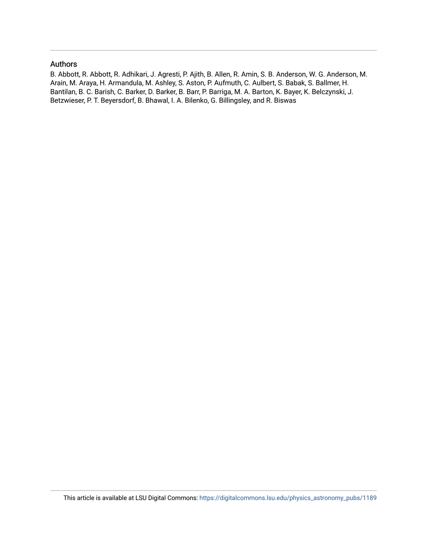#### Authors

B. Abbott, R. Abbott, R. Adhikari, J. Agresti, P. Ajith, B. Allen, R. Amin, S. B. Anderson, W. G. Anderson, M. Arain, M. Araya, H. Armandula, M. Ashley, S. Aston, P. Aufmuth, C. Aulbert, S. Babak, S. Ballmer, H. Bantilan, B. C. Barish, C. Barker, D. Barker, B. Barr, P. Barriga, M. A. Barton, K. Bayer, K. Belczynski, J. Betzwieser, P. T. Beyersdorf, B. Bhawal, I. A. Bilenko, G. Billingsley, and R. Biswas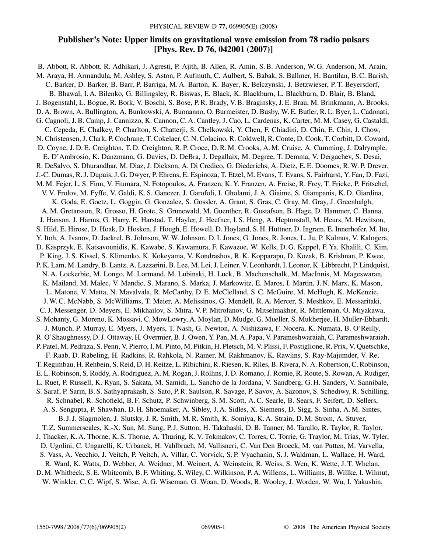### **Publisher's Note: Upper limits on gravitational wave emission from 78 radio pulsars [Phys. Rev. D 76, 042001 (2007)]**

B. Abbott, R. Abbott, R. Adhikari, J. Agresti, P. Ajith, B. Allen, R. Amin, S. B. Anderson, W. G. Anderson, M. Arain, M. Araya, H. Armandula, M. Ashley, S. Aston, P. Aufmuth, C. Aulbert, S. Babak, S. Ballmer, H. Bantilan, B. C. Barish, C. Barker, D. Barker, B. Barr, P. Barriga, M. A. Barton, K. Bayer, K. Belczynski, J. Betzwieser, P. T. Beyersdorf, B. Bhawal, I. A. Bilenko, G. Billingsley, R. Biswas, E. Black, K. Blackburn, L. Blackburn, D. Blair, B. Bland, J. Bogenstahl, L. Bogue, R. Bork, V. Boschi, S. Bose, P. R. Brady, V. B. Braginsky, J. E. Brau, M. Brinkmann, A. Brooks, D. A. Brown, A. Bullington, A. Bunkowski, A. Buonanno, O. Burmeister, D. Busby, W. E. Butler, R. L. Byer, L. Cadonati, G. Cagnoli, J. B. Camp, J. Cannizzo, K. Cannon, C. A. Cantley, J. Cao, L. Cardenas, K. Carter, M. M. Casey, G. Castaldi, C. Cepeda, E. Chalkey, P. Charlton, S. Chatterji, S. Chelkowski, Y. Chen, F. Chiadini, D. Chin, E. Chin, J. Chow, N. Christensen, J. Clark, P. Cochrane, T. Cokelaer, C. N. Colacino, R. Coldwell, R. Conte, D. Cook, T. Corbitt, D. Coward, D. Coyne, J. D. E. Creighton, T. D. Creighton, R. P. Croce, D. R. M. Crooks, A. M. Cruise, A. Cumming, J. Dalrymple, E. D'Ambrosio, K. Danzmann, G. Davies, D. DeBra, J. Degallaix, M. Degree, T. Demma, V. Dergachev, S. Desai, R. DeSalvo, S. Dhurandhar, M. Diaz, J. Dickson, A. Di Credico, G. Diederichs, A. Dietz, E. E. Doomes, R. W. P. Drever, J.-C. Dumas, R. J. Dupuis, J. G. Dwyer, P. Ehrens, E. Espinoza, T. Etzel, M. Evans, T. Evans, S. Fairhurst, Y. Fan, D. Fazi, M. M. Fejer, L. S. Finn, V. Fiumara, N. Fotopoulos, A. Franzen, K. Y. Franzen, A. Freise, R. Frey, T. Fricke, P. Fritschel, V. V. Frolov, M. Fyffe, V. Galdi, K. S. Ganezer, J. Garofoli, I. Gholami, J. A. Giaime, S. Giampanis, K. D. Giardina, K. Goda, E. Goetz, L. Goggin, G. Gonzalez, S. Gossler, A. Grant, S. Gras, C. Gray, M. Gray, J. Greenhalgh, A. M. Gretarsson, R. Grosso, H. Grote, S. Grunewald, M. Guenther, R. Gustafson, B. Hage, D. Hammer, C. Hanna, J. Hanson, J. Harms, G. Harry, E. Harstad, T. Hayler, J. Heefner, I. S. Heng, A. Heptonstall, M. Heurs, M. Hewitson, S. Hild, E. Hirose, D. Hoak, D. Hosken, J. Hough, E. Howell, D. Hoyland, S. H. Huttner, D. Ingram, E. Innerhofer, M. Ito, Y. Itoh, A. Ivanov, D. Jackrel, B. Johnson, W. W. Johnson, D. I. Jones, G. Jones, R. Jones, L. Ju, P. Kalmus, V. Kalogera, D. Kasprzyk, E. Katsavounidis, K. Kawabe, S. Kawamura, F. Kawazoe, W. Kells, D. G. Keppel, F. Ya. Khalili, C. Kim, P. King, J. S. Kissel, S. Klimenko, K. Kokeyama, V. Kondrashov, R. K. Kopparapu, D. Kozak, B. Krishnan, P. Kwee, P. K. Lam, M. Landry, B. Lantz, A. Lazzarini, B. Lee, M. Lei, J. Leiner, V. Leonhardt, I. Leonor, K. Libbrecht, P. Lindquist, N. A. Lockerbie, M. Longo, M. Lormand, M. Lubinski, H. Luck, B. Machenschalk, M. MacInnis, M. Mageswaran, K. Mailand, M. Malec, V. Mandic, S. Marano, S. Marka, J. Markowitz, E. Maros, I. Martin, J. N. Marx, K. Mason, L. Matone, V. Matta, N. Mavalvala, R. McCarthy, D. E. McClelland, S. C. McGuire, M. McHugh, K. McKenzie, J. W. C. McNabb, S. McWilliams, T. Meier, A. Melissinos, G. Mendell, R. A. Mercer, S. Meshkov, E. Messaritaki, C. J. Messenger, D. Meyers, E. Mikhailov, S. Mitra, V. P. Mitrofanov, G. Mitselmakher, R. Mittleman, O. Miyakawa, S. Mohanty, G. Moreno, K. Mossavi, C. MowLowry, A. Moylan, D. Mudge, G. Mueller, S. Mukherjee, H. Muller-Ebhardt, J. Munch, P. Murray, E. Myers, J. Myers, T. Nash, G. Newton, A. Nishizawa, F. Nocera, K. Numata, B. O'Reilly, R. O'Shaughnessy, D. J. Ottaway, H. Overmier, B. J. Owen, Y. Pan, M. A. Papa, V. Parameshwaraiah, C. Parameshwaraiah, P. Patel, M. Pedraza, S. Penn, V. Pierro, I. M. Pinto, M. Pitkin, H. Pletsch, M. V. Plissi, F. Postiglione, R. Prix, V. Quetschke, F. Raab, D. Rabeling, H. Radkins, R. Rahkola, N. Rainer, M. Rakhmanov, K. Rawlins, S. Ray-Majumder, V. Re, T. Regimbau, H. Rehbein, S. Reid, D. H. Reitze, L. Ribichini, R. Riesen, K. Riles, B. Rivera, N. A. Robertson, C. Robinson, E. L. Robinson, S. Roddy, A. Rodriguez, A. M. Rogan, J. Rollins, J. D. Romano, J. Romie, R. Route, S. Rowan, A. Rudiger, L. Ruet, P. Russell, K. Ryan, S. Sakata, M. Samidi, L. Sancho de la Jordana, V. Sandberg, G. H. Sanders, V. Sannibale, S. Saraf, P. Sarin, B. S. Sathyaprakash, S. Sato, P. R. Saulson, R. Savage, P. Savov, A. Sazonov, S. Schediwy, R. Schilling, R. Schnabel, R. Schofield, B. F. Schutz, P. Schwinberg, S. M. Scott, A. C. Searle, B. Sears, F. Seifert, D. Sellers, A. S. Sengupta, P. Shawhan, D. H. Shoemaker, A. Sibley, J. A. Sidles, X. Siemens, D. Sigg, S. Sinha, A. M. Sintes, B. J. J. Slagmolen, J. Slutsky, J. R. Smith, M. R. Smith, K. Somiya, K. A. Strain, D. M. Strom, A. Stuver, T. Z. Summerscales, K.-X. Sun, M. Sung, P. J. Sutton, H. Takahashi, D. B. Tanner, M. Tarallo, R. Taylor, R. Taylor, J. Thacker, K. A. Thorne, K. S. Thorne, A. Thuring, K. V. Tokmakov, C. Torres, C. Torrie, G. Traylor, M. Trias, W. Tyler, D. Ugolini, C. Ungarelli, K. Urbanek, H. Vahlbruch, M. Vallisneri, C. Van Den Broeck, M. van Putten, M. Varvella, S. Vass, A. Vecchio, J. Veitch, P. Veitch, A. Villar, C. Vorvick, S. P. Vyachanin, S. J. Waldman, L. Wallace, H. Ward, R. Ward, K. Watts, D. Webber, A. Weidner, M. Weinert, A. Weinstein, R. Weiss, S. Wen, K. Wette, J. T. Whelan, D. M. Whitbeck, S. E. Whitcomb, B. F. Whiting, S. Wiley, C. Wilkinson, P. A. Willems, L. Williams, B. Willke, I. Wilmut, W. Winkler, C. C. Wipf, S. Wise, A. G. Wiseman, G. Woan, D. Woods, R. Wooley, J. Worden, W. Wu, I. Yakushin,